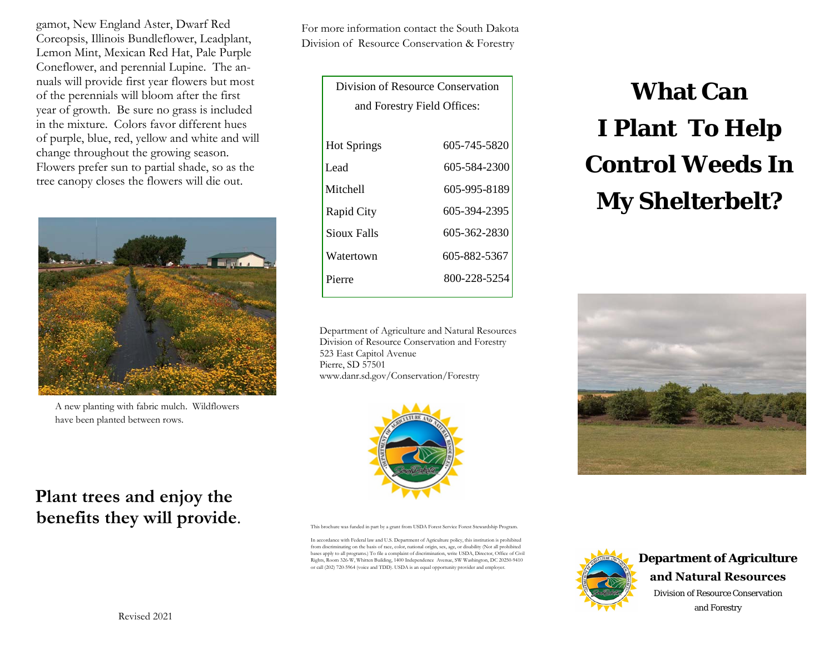gamot, New England Aster, Dwarf Red Coreopsis, Illinois Bundleflower, Leadplant, Lemon Mint, Mexican Red Hat, Pale Purple Coneflower, and perennial Lupine. The annuals will provide first year flowers but most of the perennials will bloom after the first year of growth. Be sure no grass is included in the mixture. Colors favor different hues of purple, blue, red, yellow and white and will change throughout the growing season. Flowers prefer sun to partial shade, so as the tree canopy closes the flowers will die out.



A new planting with fabric mulch. Wildflowers have been planted between rows.

**Plant trees and enjoy the** 

**benefits they will provide**.

Revised 2021

For more information contact the South Dakota Division of Resource Conservation & Forestry

| Division of Resource Conservation |              |
|-----------------------------------|--------------|
| and Forestry Field Offices:       |              |
|                                   |              |
| <b>Hot Springs</b>                | 605-745-5820 |
| Lead                              | 605-584-2300 |
| Mitchell                          | 605-995-8189 |
| Rapid City                        | 605-394-2395 |
| Sioux Falls                       | 605-362-2830 |
| Watertown                         | 605-882-5367 |
| Pierre                            | 800-228-5254 |
|                                   |              |

Department of Agriculture and Natural Resources Division of Resource Conservation and Forestry 523 East Capitol Avenue Pierre, SD 57501 www.danr.sd.gov/Conservation/Forestry



This brochure was funded in part by a grant from USDA Forest Service Forest Stewardship Program.

In accordance with Federal law and U.S. Department of Agriculture policy, this institution is prohibited from discriminating on the basis of race, color, national origin, sex, age, or disability (Not all prohibited bases apply to all programs.) To file a complaint of discrimination, write USDA, Director, Office of Civil Rights, Room 326-W, Whitten Building, 1400 Independence Avenue, SW Washington, DC 20250-9410 or call (202) 720-5964 (voice and TDD). USDA is an equal opportunity provider and employer.

# **What Can I Plant To Help Control Weeds In My Shelterbelt?**





Division of Resource Conservation